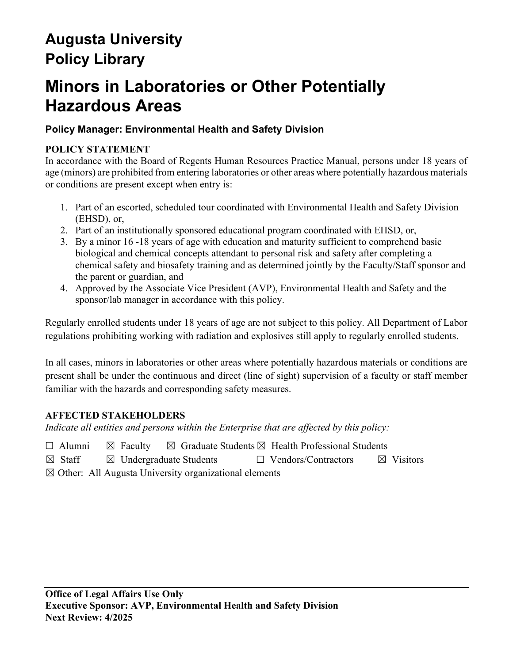# **Augusta University Policy Library**

# **Minors in Laboratories or Other Potentially Hazardous Areas**

# **Policy Manager: Environmental Health and Safety Division**

## **POLICY STATEMENT**

In accordance with the Board of Regents Human Resources Practice Manual, persons under 18 years of age (minors) are prohibited from entering laboratories or other areas where potentially hazardous materials or conditions are present except when entry is:

- 1. Part of an escorted, scheduled tour coordinated with Environmental Health and Safety Division (EHSD), or,
- 2. Part of an institutionally sponsored educational program coordinated with EHSD, or,
- 3. By a minor 16 -18 years of age with education and maturity sufficient to comprehend basic biological and chemical concepts attendant to personal risk and safety after completing a chemical safety and biosafety training and as determined jointly by the Faculty/Staff sponsor and the parent or guardian, and
- 4. Approved by the Associate Vice President (AVP), Environmental Health and Safety and the sponsor/lab manager in accordance with this policy.

Regularly enrolled students under 18 years of age are not subject to this policy. All Department of Labor regulations prohibiting working with radiation and explosives still apply to regularly enrolled students.

In all cases, minors in laboratories or other areas where potentially hazardous materials or conditions are present shall be under the continuous and direct (line of sight) supervision of a faculty or staff member familiar with the hazards and corresponding safety measures.

## **AFFECTED STAKEHOLDERS**

*Indicate all entities and persons within the Enterprise that are affected by this policy:* 

- $\Box$  Alumni  $\boxtimes$  Faculty  $\boxtimes$  Graduate Students  $\boxtimes$  Health Professional Students
- ☒ Staff ☒ Undergraduate Students ☐ Vendors/Contractors ☒ Visitors
- $\boxtimes$  Other: All Augusta University organizational elements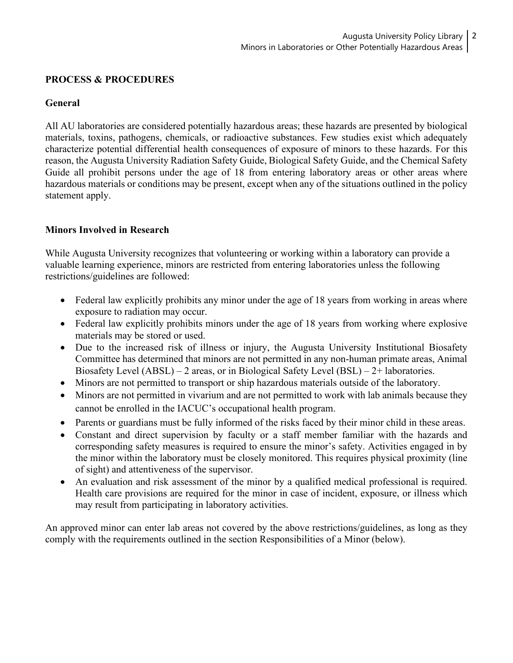#### **PROCESS & PROCEDURES**

#### **General**

All AU laboratories are considered potentially hazardous areas; these hazards are presented by biological materials, toxins, pathogens, chemicals, or radioactive substances. Few studies exist which adequately characterize potential differential health consequences of exposure of minors to these hazards. For this reason, the Augusta University Radiation Safety Guide, Biological Safety Guide, and the Chemical Safety Guide all prohibit persons under the age of 18 from entering laboratory areas or other areas where hazardous materials or conditions may be present, except when any of the situations outlined in the policy statement apply.

#### **Minors Involved in Research**

While Augusta University recognizes that volunteering or working within a laboratory can provide a valuable learning experience, minors are restricted from entering laboratories unless the following restrictions/guidelines are followed:

- Federal law explicitly prohibits any minor under the age of 18 years from working in areas where exposure to radiation may occur.
- Federal law explicitly prohibits minors under the age of 18 years from working where explosive materials may be stored or used.
- Due to the increased risk of illness or injury, the Augusta University Institutional Biosafety Committee has determined that minors are not permitted in any non-human primate areas, Animal Biosafety Level (ABSL) – 2 areas, or in Biological Safety Level (BSL) – 2+ laboratories.
- Minors are not permitted to transport or ship hazardous materials outside of the laboratory.
- Minors are not permitted in vivarium and are not permitted to work with lab animals because they cannot be enrolled in the IACUC's occupational health program.
- Parents or guardians must be fully informed of the risks faced by their minor child in these areas.
- Constant and direct supervision by faculty or a staff member familiar with the hazards and corresponding safety measures is required to ensure the minor's safety. Activities engaged in by the minor within the laboratory must be closely monitored. This requires physical proximity (line of sight) and attentiveness of the supervisor.
- An evaluation and risk assessment of the minor by a qualified medical professional is required. Health care provisions are required for the minor in case of incident, exposure, or illness which may result from participating in laboratory activities.

An approved minor can enter lab areas not covered by the above restrictions/guidelines, as long as they comply with the requirements outlined in the section Responsibilities of a Minor (below).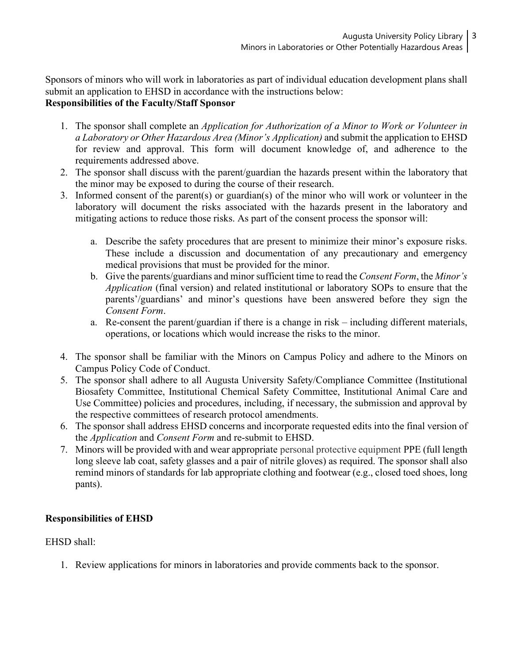Sponsors of minors who will work in laboratories as part of individual education development plans shall submit an application to EHSD in accordance with the instructions below:

## **Responsibilities of the Faculty/Staff Sponsor**

- 1. The sponsor shall complete an *Application for Authorization of a Minor to Work or Volunteer in a Laboratory or Other Hazardous Area (Minor's Application)* and submit the application to EHSD for review and approval. This form will document knowledge of, and adherence to the requirements addressed above.
- 2. The sponsor shall discuss with the parent/guardian the hazards present within the laboratory that the minor may be exposed to during the course of their research.
- 3. Informed consent of the parent(s) or guardian(s) of the minor who will work or volunteer in the laboratory will document the risks associated with the hazards present in the laboratory and mitigating actions to reduce those risks. As part of the consent process the sponsor will:
	- a. Describe the safety procedures that are present to minimize their minor's exposure risks. These include a discussion and documentation of any precautionary and emergency medical provisions that must be provided for the minor.
	- b. Give the parents/guardians and minor sufficient time to read the *Consent Form*, the *Minor's Application* (final version) and related institutional or laboratory SOPs to ensure that the parents'/guardians' and minor's questions have been answered before they sign the *Consent Form*.
	- a. Re-consent the parent/guardian if there is a change in risk including different materials, operations, or locations which would increase the risks to the minor.
- 4. The sponsor shall be familiar with the Minors on Campus Policy and adhere to the Minors on Campus Policy Code of Conduct.
- 5. The sponsor shall adhere to all Augusta University Safety/Compliance Committee (Institutional Biosafety Committee, Institutional Chemical Safety Committee, Institutional Animal Care and Use Committee) policies and procedures, including, if necessary, the submission and approval by the respective committees of research protocol amendments.
- 6. The sponsor shall address EHSD concerns and incorporate requested edits into the final version of the *Application* and *Consent Form* and re-submit to EHSD.
- 7. Minors will be provided with and wear appropriate personal protective equipment PPE (full length long sleeve lab coat, safety glasses and a pair of nitrile gloves) as required. The sponsor shall also remind minors of standards for lab appropriate clothing and footwear (e.g., closed toed shoes, long pants).

#### **Responsibilities of EHSD**

#### EHSD shall:

1. Review applications for minors in laboratories and provide comments back to the sponsor.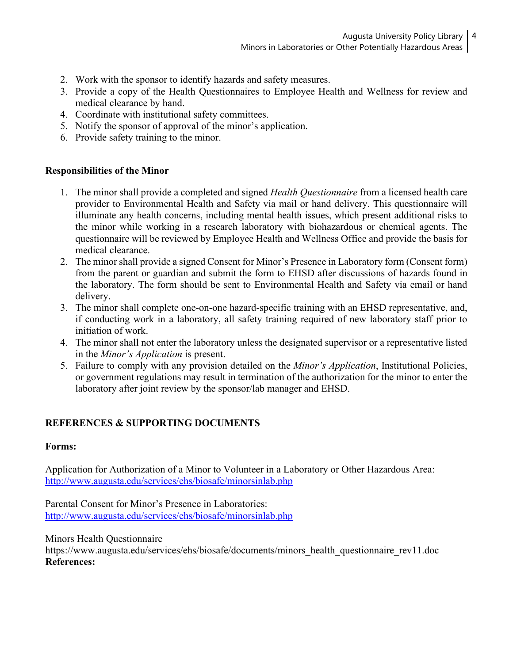- 2. Work with the sponsor to identify hazards and safety measures.
- 3. Provide a copy of the Health Questionnaires to Employee Health and Wellness for review and medical clearance by hand.
- 4. Coordinate with institutional safety committees.
- 5. Notify the sponsor of approval of the minor's application.
- 6. Provide safety training to the minor.

#### **Responsibilities of the Minor**

- 1. The minor shall provide a completed and signed *Health Questionnaire* from a licensed health care provider to Environmental Health and Safety via mail or hand delivery. This questionnaire will illuminate any health concerns, including mental health issues, which present additional risks to the minor while working in a research laboratory with biohazardous or chemical agents. The questionnaire will be reviewed by Employee Health and Wellness Office and provide the basis for medical clearance.
- 2. The minor shall provide a signed Consent for Minor's Presence in Laboratory form (Consent form) from the parent or guardian and submit the form to EHSD after discussions of hazards found in the laboratory. The form should be sent to Environmental Health and Safety via email or hand delivery.
- 3. The minor shall complete one-on-one hazard-specific training with an EHSD representative, and, if conducting work in a laboratory, all safety training required of new laboratory staff prior to initiation of work.
- 4. The minor shall not enter the laboratory unless the designated supervisor or a representative listed in the *Minor's Application* is present.
- 5. Failure to comply with any provision detailed on the *Minor's Application*, Institutional Policies, or government regulations may result in termination of the authorization for the minor to enter the laboratory after joint review by the sponsor/lab manager and EHSD.

## **REFERENCES & SUPPORTING DOCUMENTS**

#### **Forms:**

Application for Authorization of a Minor to Volunteer in a Laboratory or Other Hazardous Area: <http://www.augusta.edu/services/ehs/biosafe/minorsinlab.php>

Parental Consent for Minor's Presence in Laboratories: <http://www.augusta.edu/services/ehs/biosafe/minorsinlab.php>

#### Minors Health Questionnaire

https://www.augusta.edu/services/ehs/biosafe/documents/minors\_health\_questionnaire\_rev11.doc **References:**